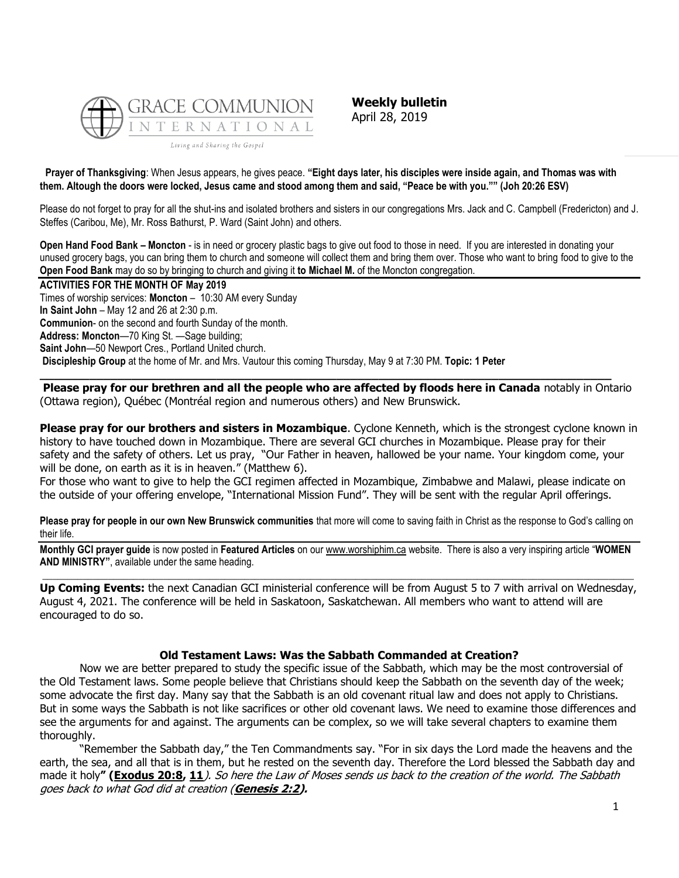

**Weekly bulletin** April 28, 2019

**Prayer of Thanksgiving**: When Jesus appears, he gives peace. **"Eight days later, his disciples were inside again, and Thomas was with them. Altough the doors were locked, Jesus came and stood among them and said, "Peace be with you."" (Joh 20:26 ESV)**

Please do not forget to pray for all the shut-ins and isolated brothers and sisters in our congregations Mrs. Jack and C. Campbell (Fredericton) and J. Steffes (Caribou, Me), Mr. Ross Bathurst, P. Ward (Saint John) and others.

**Open Hand Food Bank – Moncton** - is in need or grocery plastic bags to give out food to those in need. If you are interested in donating your unused grocery bags, you can bring them to church and someone will collect them and bring them over. Those who want to bring food to give to the **Open Food Bank** may do so by bringing to church and giving it **to Michael M.** of the Moncton congregation.

#### **ACTIVITIES FOR THE MONTH OF May 2019**

Times of worship services: **Moncton** – 10:30 AM every Sunday **In Saint John** – May 12 and 26 at 2:30 p.m. **Communion**- on the second and fourth Sunday of the month. **Address: Moncton**—70 King St. —Sage building; **Saint John**—50 Newport Cres., Portland United church. **Discipleship Group** at the home of Mr. and Mrs. Vautour this coming Thursday, May 9 at 7:30 PM. **Topic: 1 Peter** 

**Please pray for our brethren and all the people who are affected by floods here in Canada** notably in Ontario (Ottawa region), Québec (Montréal region and numerous others) and New Brunswick.

**\_\_\_\_\_\_\_\_\_\_\_\_\_\_\_\_\_\_\_\_\_\_\_\_\_\_\_\_\_\_\_\_\_\_\_\_\_\_\_\_\_\_\_\_\_\_\_\_\_\_\_\_\_\_\_\_\_\_\_\_\_\_\_\_\_\_\_\_\_\_\_\_\_\_\_\_\_\_\_\_\_**

**Please pray for our brothers and sisters in Mozambique**. Cyclone Kenneth, which is the strongest cyclone known in history to have touched down in Mozambique. There are several GCI churches in Mozambique. Please pray for their safety and the safety of others. Let us pray, "Our Father in heaven, hallowed be your name. Your kingdom come, your will be done, on earth as it is in heaven." (Matthew 6).

For those who want to give to help the GCI regimen affected in Mozambique, Zimbabwe and Malawi, please indicate on the outside of your offering envelope, "International Mission Fund". They will be sent with the regular April offerings.

**Please pray for people in our own New Brunswick communities** that more will come to saving faith in Christ as the response to God's calling on their life.

**Monthly GCI prayer guide** is now posted in **Featured Articles** on our [www.worshiphim.ca](http://www.worshiphim.ca/) website. There is also a very inspiring article "**WOMEN AND MINISTRY"**, available under the same heading.  $\Box$ 

Up Coming Events: the next Canadian GCI ministerial conference will be from August 5 to 7 with arrival on Wednesdav, August 4, 2021. The conference will be held in Saskatoon, Saskatchewan. All members who want to attend will are encouraged to do so.

#### **Old Testament Laws: Was the Sabbath Commanded at Creation?**

Now we are better prepared to study the specific issue of the Sabbath, which may be the most controversial of the Old Testament laws. Some people believe that Christians should keep the Sabbath on the seventh day of the week; some advocate the first day. Many say that the Sabbath is an old covenant ritual law and does not apply to Christians. But in some ways the Sabbath is not like sacrifices or other old covenant laws. We need to examine those differences and see the arguments for and against. The arguments can be complex, so we will take several chapters to examine them thoroughly.

"Remember the Sabbath day," the Ten Commandments say. "For in six days the Lord made the heavens and the earth, the sea, and all that is in them, but he rested on the seventh day. Therefore the Lord blessed the Sabbath day and made it holy**" ([Exodus 20:8,](https://biblia.com/bible/niv/Exod%2020.8) [11](https://biblia.com/bible/niv/Exodus%2020.11)**). So here the Law of Moses sends us back to the creation of the world. The Sabbath goes back to what God did at creation (**[Genesis 2:2\)](https://biblia.com/bible/niv/Gen%202.2).**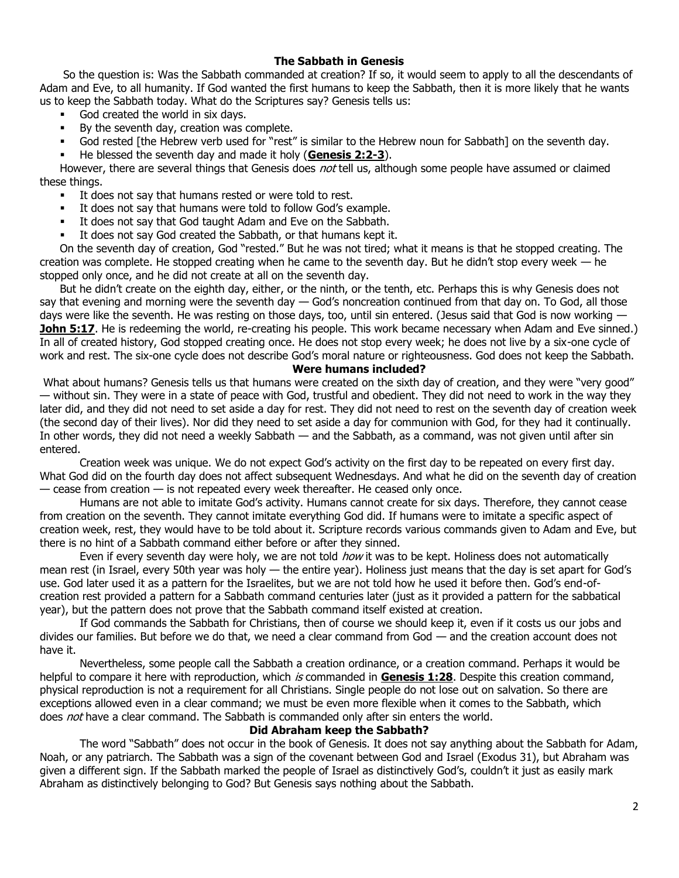# **The Sabbath in Genesis**

So the question is: Was the Sabbath commanded at creation? If so, it would seem to apply to all the descendants of Adam and Eve, to all humanity. If God wanted the first humans to keep the Sabbath, then it is more likely that he wants us to keep the Sabbath today. What do the Scriptures say? Genesis tells us:

- God created the world in six days.
- By the seventh day, creation was complete.
- God rested [the Hebrew verb used for "rest" is similar to the Hebrew noun for Sabbath] on the seventh day.
- He blessed the seventh day and made it holy ([Genesis 2:2-3](https://biblia.com/bible/niv/Gen%202.2-3)).

However, there are several things that Genesis does not tell us, although some people have assumed or claimed these things.

- It does not say that humans rested or were told to rest.
- It does not say that humans were told to follow God's example.
- It does not say that God taught Adam and Eve on the Sabbath.
- It does not say God created the Sabbath, or that humans kept it.

On the seventh day of creation, God "rested." But he was not tired; what it means is that he stopped creating. The creation was complete. He stopped creating when he came to the seventh day. But he didn't stop every week — he stopped only once, and he did not create at all on the seventh day.

But he didn't create on the eighth day, either, or the ninth, or the tenth, etc. Perhaps this is why Genesis does not say that evening and morning were the seventh day  $-$  God's noncreation continued from that day on. To God, all those days were like the seventh. He was resting on those days, too, until sin entered. (Jesus said that God is now working -**[John 5:17](https://biblia.com/bible/niv/John%205.17)**. He is redeeming the world, re-creating his people. This work became necessary when Adam and Eve sinned.) In all of created history, God stopped creating once. He does not stop every week; he does not live by a six-one cycle of work and rest. The six-one cycle does not describe God's moral nature or righteousness. God does not keep the Sabbath.

## **Were humans included?**

What about humans? Genesis tells us that humans were created on the sixth day of creation, and they were "very good" — without sin. They were in a state of peace with God, trustful and obedient. They did not need to work in the way they later did, and they did not need to set aside a day for rest. They did not need to rest on the seventh day of creation week (the second day of their lives). Nor did they need to set aside a day for communion with God, for they had it continually. In other words, they did not need a weekly Sabbath — and the Sabbath, as a command, was not given until after sin entered.

Creation week was unique. We do not expect God's activity on the first day to be repeated on every first day. What God did on the fourth day does not affect subsequent Wednesdays. And what he did on the seventh day of creation  $-$  cease from creation  $-$  is not repeated every week thereafter. He ceased only once.

Humans are not able to imitate God's activity. Humans cannot create for six days. Therefore, they cannot cease from creation on the seventh. They cannot imitate everything God did. If humans were to imitate a specific aspect of creation week, rest, they would have to be told about it. Scripture records various commands given to Adam and Eve, but there is no hint of a Sabbath command either before or after they sinned.

Even if every seventh day were holy, we are not told *how* it was to be kept. Holiness does not automatically mean rest (in Israel, every 50th year was holy — the entire year). Holiness just means that the day is set apart for God's use. God later used it as a pattern for the Israelites, but we are not told how he used it before then. God's end-ofcreation rest provided a pattern for a Sabbath command centuries later (just as it provided a pattern for the sabbatical year), but the pattern does not prove that the Sabbath command itself existed at creation.

If God commands the Sabbath for Christians, then of course we should keep it, even if it costs us our jobs and divides our families. But before we do that, we need a clear command from God — and the creation account does not have it.

Nevertheless, some people call the Sabbath a creation ordinance, or a creation command. Perhaps it would be helpful to compare it here with reproduction, which is commanded in **[Genesis 1:28](https://biblia.com/bible/niv/Gen%201.28)**. Despite this creation command, physical reproduction is not a requirement for all Christians. Single people do not lose out on salvation. So there are exceptions allowed even in a clear command; we must be even more flexible when it comes to the Sabbath, which does not have a clear command. The Sabbath is commanded only after sin enters the world.

## **Did Abraham keep the Sabbath?**

The word "Sabbath" does not occur in the book of Genesis. It does not say anything about the Sabbath for Adam, Noah, or any patriarch. The Sabbath was a sign of the covenant between God and Israel (Exodus 31), but Abraham was given a different sign. If the Sabbath marked the people of Israel as distinctively God's, couldn't it just as easily mark Abraham as distinctively belonging to God? But Genesis says nothing about the Sabbath.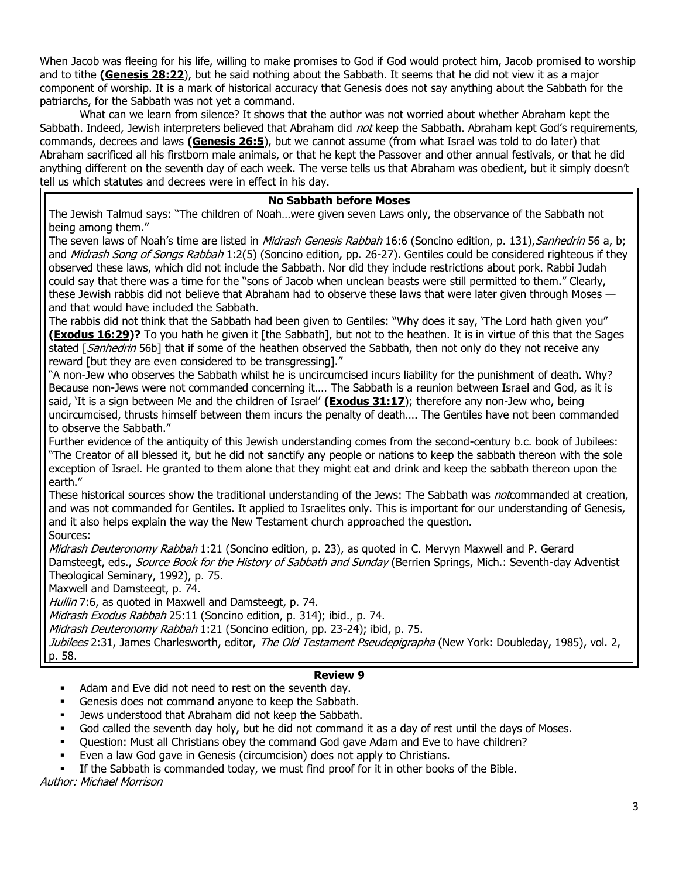When Jacob was fleeing for his life, willing to make promises to God if God would protect him, Jacob promised to worship and to tithe **[\(Genesis 28:22](https://biblia.com/bible/niv/Gen%2028.22)**), but he said nothing about the Sabbath. It seems that he did not view it as a major component of worship. It is a mark of historical accuracy that Genesis does not say anything about the Sabbath for the patriarchs, for the Sabbath was not yet a command.

What can we learn from silence? It shows that the author was not worried about whether Abraham kept the Sabbath. Indeed, Jewish interpreters believed that Abraham did not keep the Sabbath. Abraham kept God's requirements, commands, decrees and laws **[\(Genesis 26:5](https://biblia.com/bible/niv/Gen%2026.5)**), but we cannot assume (from what Israel was told to do later) that Abraham sacrificed all his firstborn male animals, or that he kept the Passover and other annual festivals, or that he did anything different on the seventh day of each week. The verse tells us that Abraham was obedient, but it simply doesn't tell us which statutes and decrees were in effect in his day.

# **No Sabbath before Moses**

The Jewish Talmud says: "The children of Noah…were given seven Laws only, the observance of the Sabbath not being among them."

The seven laws of Noah's time are listed in *Midrash Genesis Rabbah* 16:6 (Soncino edition, p. 131), Sanhedrin 56 a, b; and Midrash Song of Songs Rabbah 1:2(5) (Soncino edition, pp. 26-27). Gentiles could be considered righteous if they observed these laws, which did not include the Sabbath. Nor did they include restrictions about pork. Rabbi Judah could say that there was a time for the "sons of Jacob when unclean beasts were still permitted to them." Clearly, these Jewish rabbis did not believe that Abraham had to observe these laws that were later given through Moses and that would have included the Sabbath.

The rabbis did not think that the Sabbath had been given to Gentiles: "Why does it say, 'The Lord hath given you" **[\(Exodus 16:29\)](https://biblia.com/bible/niv/Exod%2016.29)?** To you hath he given it [the Sabbath], but not to the heathen. It is in virtue of this that the Sages stated [Sanhedrin 56b] that if some of the heathen observed the Sabbath, then not only do they not receive any reward [but they are even considered to be transgressing]."

"A non-Jew who observes the Sabbath whilst he is uncircumcised incurs liability for the punishment of death. Why? Because non-Jews were not commanded concerning it…. The Sabbath is a reunion between Israel and God, as it is said, 'It is a sign between Me and the children of Israel' **[\(Exodus 31:17](https://biblia.com/bible/niv/Exod%2031.17)**); therefore any non-Jew who, being uncircumcised, thrusts himself between them incurs the penalty of death…. The Gentiles have not been commanded to observe the Sabbath."

Further evidence of the antiquity of this Jewish understanding comes from the second-century b.c. book of Jubilees: "The Creator of all blessed it, but he did not sanctify any people or nations to keep the sabbath thereon with the sole exception of Israel. He granted to them alone that they might eat and drink and keep the sabbath thereon upon the earth."

These historical sources show the traditional understanding of the Jews: The Sabbath was *not*commanded at creation, and was not commanded for Gentiles. It applied to Israelites only. This is important for our understanding of Genesis, and it also helps explain the way the New Testament church approached the question. Sources:

Midrash Deuteronomy Rabbah 1:21 (Soncino edition, p. 23), as quoted in C. Mervyn Maxwell and P. Gerard Damsteegt, eds., Source Book for the History of Sabbath and Sunday (Berrien Springs, Mich.: Seventh-day Adventist Theological Seminary, 1992), p. 75.

Maxwell and Damsteegt, p. 74.

Hullin 7:6, as quoted in Maxwell and Damsteegt, p. 74.

Midrash Exodus Rabbah 25:11 (Soncino edition, p. 314); ibid., p. 74.

Midrash Deuteronomy Rabbah 1:21 (Soncino edition, pp. 23-24); ibid, p. 75.

Jubilees 2:31, James Charlesworth, editor, The Old Testament Pseudepigrapha (New York: Doubleday, 1985), vol. 2, p. 58.

## **Review 9**

- Adam and Eve did not need to rest on the seventh day.
- Genesis does not command anyone to keep the Sabbath.
- Jews understood that Abraham did not keep the Sabbath.
- God called the seventh day holy, but he did not command it as a day of rest until the days of Moses.
- Question: Must all Christians obey the command God gave Adam and Eve to have children?
- Even a law God gave in Genesis (circumcision) does not apply to Christians.
- If the Sabbath is commanded today, we must find proof for it in other books of the Bible.

Author: Michael Morrison